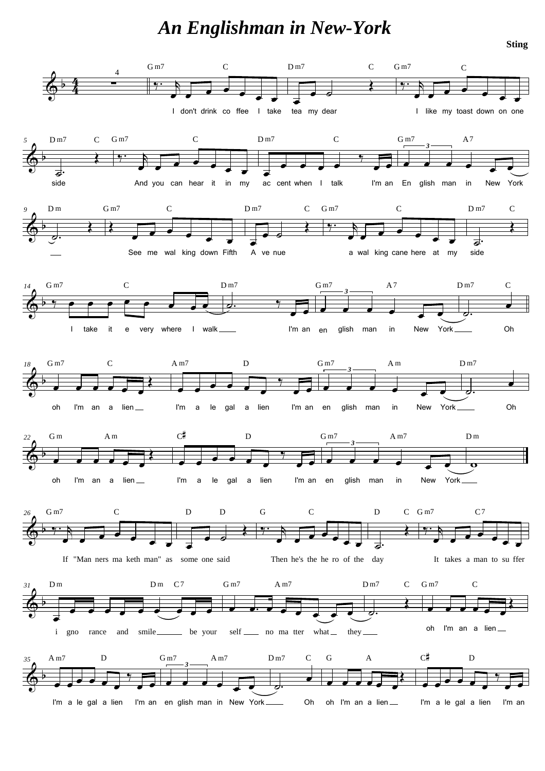## *An Englishman in New-York*



**Sting**